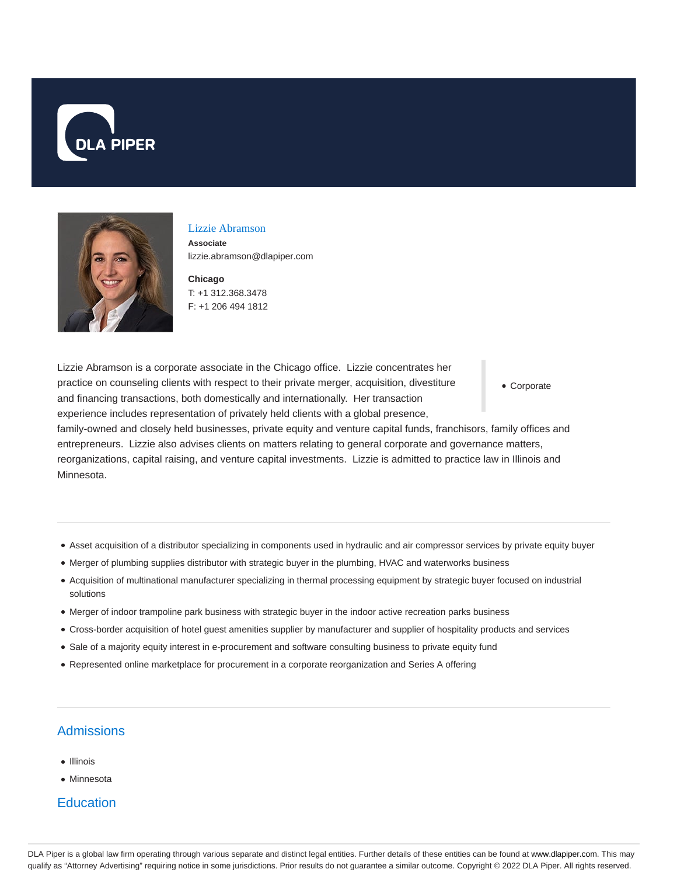



#### Lizzie Abramson

**Associate** lizzie.abramson@dlapiper.com

**Chicago** T: +1 312.368.3478 F: +1 206 494 1812

Corporate Lizzie Abramson is a corporate associate in the Chicago office. Lizzie concentrates her practice on counseling clients with respect to their private merger, acquisition, divestiture and financing transactions, both domestically and internationally. Her transaction experience includes representation of privately held clients with a global presence, family-owned and closely held businesses, private equity and venture capital funds, franchisors, family offices and entrepreneurs. Lizzie also advises clients on matters relating to general corporate and governance matters,

reorganizations, capital raising, and venture capital investments. Lizzie is admitted to practice law in Illinois and Minnesota.

- Asset acquisition of a distributor specializing in components used in hydraulic and air compressor services by private equity buyer
- Merger of plumbing supplies distributor with strategic buyer in the plumbing, HVAC and waterworks business
- Acquisition of multinational manufacturer specializing in thermal processing equipment by strategic buyer focused on industrial solutions
- Merger of indoor trampoline park business with strategic buyer in the indoor active recreation parks business
- Cross-border acquisition of hotel guest amenities supplier by manufacturer and supplier of hospitality products and services
- Sale of a majority equity interest in e-procurement and software consulting business to private equity fund
- Represented online marketplace for procurement in a corporate reorganization and Series A offering

# Admissions

- Illinois
- Minnesota

## **Education**

DLA Piper is a global law firm operating through various separate and distinct legal entities. Further details of these entities can be found at www.dlapiper.com. This may qualify as "Attorney Advertising" requiring notice in some jurisdictions. Prior results do not guarantee a similar outcome. Copyright © 2022 DLA Piper. All rights reserved.